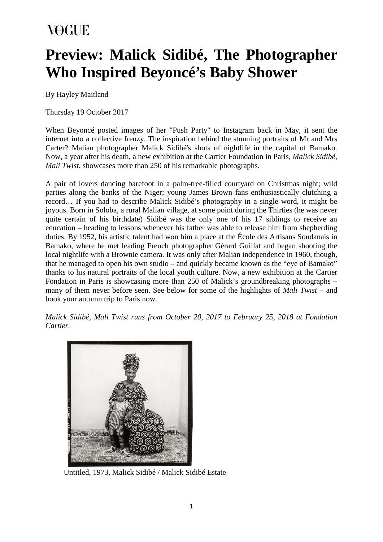## **Preview: Malick Sidibé, The Photographer Who Inspired Beyoncé's Baby Shower**

By Hayley Maitland

Thursday 19 October 2017

When Beyoncé posted images of her "Push Party" to Instagram back in May, it sent the internet into a collective frenzy. The inspiration behind the stunning portraits of Mr and Mrs Carter? Malian photographer Malick Sidibé's shots of nightlife in the capital of Bamako. Now, a year after his death, a new exhibition at the Cartier Foundation in Paris, *Malick Sidibé, Mali Twist*, showcases more than 250 of his remarkable photographs.

A pair of lovers dancing barefoot in a palm-tree-filled courtyard on Christmas night; wild parties along the banks of the Niger; young James Brown fans enthusiastically clutching a record… If you had to describe Malick Sidibé's photography in a single word, it might be joyous. Born in Soloba, a rural Malian village, at some point during the Thirties (he was never quite certain of his birthdate) Sidibé was the only one of his 17 siblings to receive an education – heading to lessons whenever his father was able to release him from shepherding duties. By 1952, his artistic talent had won him a place at the École des Artisans Soudanais in Bamako, where he met leading French photographer Gérard Guillat and began shooting the local nightlife with a Brownie camera. It was only after Malian independence in 1960, though, that he managed to open his own studio – and quickly became known as the "eye of Bamako" thanks to his natural portraits of the local youth culture. Now, a new exhibition at the Cartier Fondation in Paris is showcasing more than 250 of Malick's groundbreaking photographs – many of them never before seen. See below for some of the highlights of *Mali Twist* – and book your autumn trip to Paris now.

*Malick Sidibé, Mali Twist runs from October 20, 2017 to February 25, 2018 at Fondation Cartier.*



Untitled, 1973, Malick Sidibé / Malick Sidibé Estate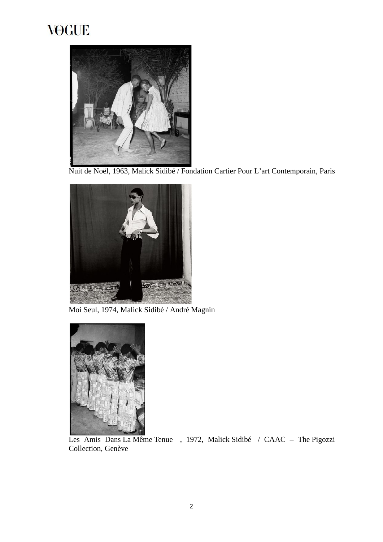

Nuit de Noël, 1963, Malick Sidibé / Fondation Cartier Pour L'art Contemporain, Paris



Moi Seul, 1974, Malick Sidibé / André Magnin



Les Amis Dans La Même Tenue , 1972, Malick Sidibé / CAAC – The Pigozzi Collection, Genève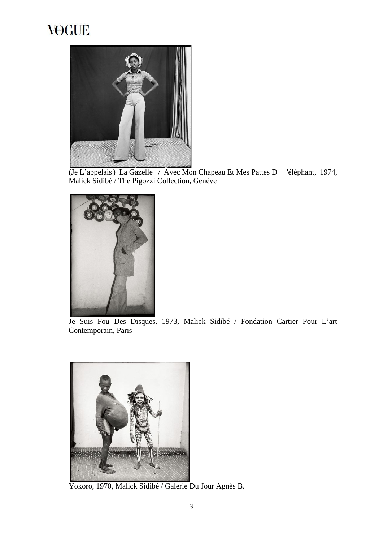

(Je L'appelais) La Gazelle / Avec Mon Chapeau Et Mes Pattes D 'éléphant, 1974, Malick Sidibé / The Pigozzi Collection, Genève



Je Suis Fou Des Disques, 1973, Malick Sidibé / Fondation Cartier Pour L'art Contemporain, Paris



Yokoro, 1970, Malick Sidibé / Galerie Du Jour Agnès B.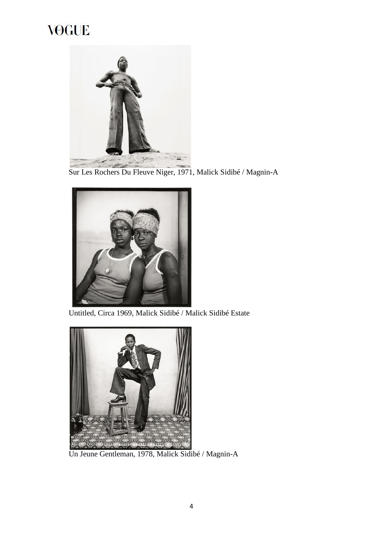

Sur Les Rochers Du Fleuve Niger, 1971, Malick Sidibé / Magnin-A



Untitled, Circa 1969, Malick Sidibé / Malick Sidibé Estate



Un Jeune Gentleman, 1978, Malick Sidibé / Magnin-A